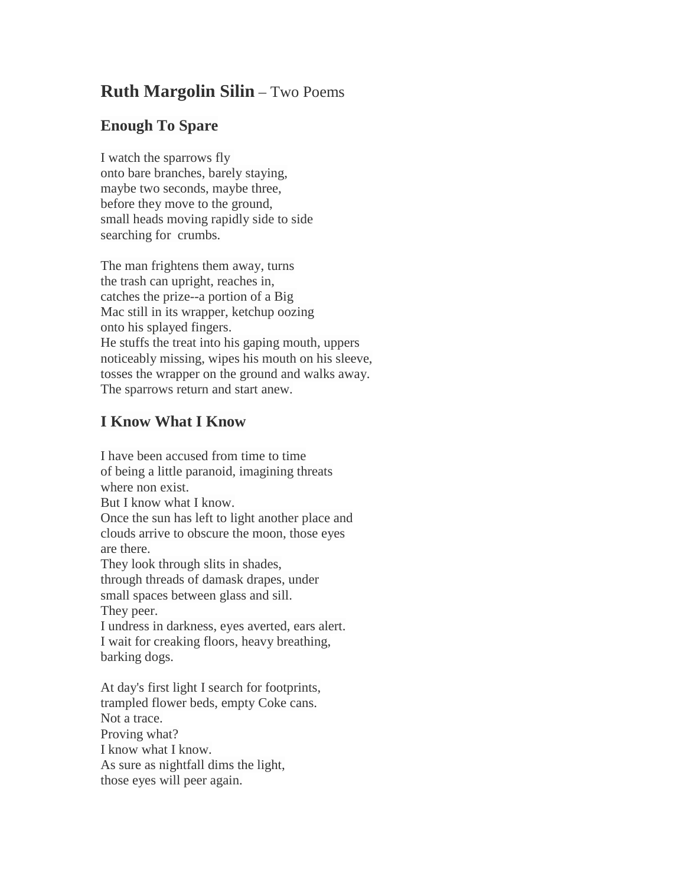## **Ruth Margolin Silin** – Two Poems

## **Enough To Spare**

I watch the sparrows fly onto bare branches, barely staying, maybe two seconds, maybe three, before they move to the ground, small heads moving rapidly side to side searching for crumbs.

The man frightens them away, turns the trash can upright, reaches in, catches the prize--a portion of a Big Mac still in its wrapper, ketchup oozing onto his splayed fingers. He stuffs the treat into his gaping mouth, uppers noticeably missing, wipes his mouth on his sleeve, tosses the wrapper on the ground and walks away. The sparrows return and start anew.

## **I Know What I Know**

I have been accused from time to time of being a little paranoid, imagining threats where non exist. But I know what I know. Once the sun has left to light another place and clouds arrive to obscure the moon, those eyes are there. They look through slits in shades, through threads of damask drapes, under small spaces between glass and sill. They peer. I undress in darkness, eyes averted, ears alert. I wait for creaking floors, heavy breathing, barking dogs. At day's first light I search for footprints, trampled flower beds, empty Coke cans. Not a trace. Proving what?

I know what I know. As sure as nightfall dims the light, those eyes will peer again.